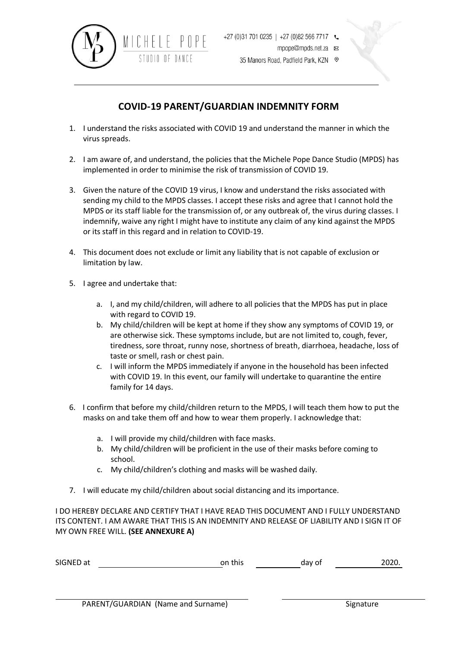

35 Manors Road, Padfield Park, KZN ©

## **COVID-19 PARENT/GUARDIAN INDEMNITY FORM**

- 1. I understand the risks associated with COVID 19 and understand the manner in which the virus spreads.
- 2. I am aware of, and understand, the policies that the Michele Pope Dance Studio (MPDS) has implemented in order to minimise the risk of transmission of COVID 19.
- 3. Given the nature of the COVID 19 virus, I know and understand the risks associated with sending my child to the MPDS classes. I accept these risks and agree that I cannot hold the MPDS or its staff liable for the transmission of, or any outbreak of, the virus during classes. I indemnify, waive any right I might have to institute any claim of any kind against the MPDS or its staff in this regard and in relation to COVID-19.
- 4. This document does not exclude or limit any liability that is not capable of exclusion or limitation by law.
- 5. I agree and undertake that:
	- a. I, and my child/children, will adhere to all policies that the MPDS has put in place with regard to COVID 19.
	- b. My child/children will be kept at home if they show any symptoms of COVID 19, or are otherwise sick. These symptoms include, but are not limited to, cough, fever, tiredness, sore throat, runny nose, shortness of breath, diarrhoea, headache, loss of taste or smell, rash or chest pain.
	- c. I will inform the MPDS immediately if anyone in the household has been infected with COVID 19. In this event, our family will undertake to quarantine the entire family for 14 days.
- 6. I confirm that before my child/children return to the MPDS, I will teach them how to put the masks on and take them off and how to wear them properly. I acknowledge that:
	- a. I will provide my child/children with face masks.
	- b. My child/children will be proficient in the use of their masks before coming to school.
	- c. My child/children's clothing and masks will be washed daily.
- 7. I will educate my child/children about social distancing and its importance.

I DO HEREBY DECLARE AND CERTIFY THAT I HAVE READ THIS DOCUMENT AND I FULLY UNDERSTAND ITS CONTENT. I AM AWARE THAT THIS IS AN INDEMNITY AND RELEASE OF LIABILITY AND I SIGN IT OF MY OWN FREE WILL. **(SEE ANNEXURE A)**

| SIGNED at | on this | day of | 2020. |
|-----------|---------|--------|-------|
|           |         |        |       |